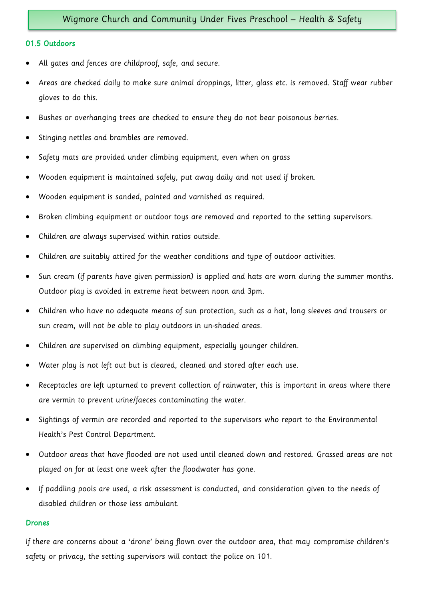## 01.5 Outdoors

- All gates and fences are childproof, safe, and secure.
- Areas are checked daily to make sure animal droppings, litter, glass etc. is removed. Staff wear rubber gloves to do this.
- Bushes or overhanging trees are checked to ensure they do not bear poisonous berries.
- Stinging nettles and brambles are removed.
- Safety mats are provided under climbing equipment, even when on grass
- Wooden equipment is maintained safely, put away daily and not used if broken.
- Wooden equipment is sanded, painted and varnished as required.
- Broken climbing equipment or outdoor toys are removed and reported to the setting supervisors.
- Children are always supervised within ratios outside.
- Children are suitably attired for the weather conditions and type of outdoor activities.
- Sun cream (if parents have given permission) is applied and hats are worn during the summer months. Outdoor play is avoided in extreme heat between noon and 3pm.
- Children who have no adequate means of sun protection, such as a hat, long sleeves and trousers or sun cream, will not be able to play outdoors in un-shaded areas.
- Children are supervised on climbing equipment, especially younger children.
- Water play is not left out but is cleared, cleaned and stored after each use.
- Receptacles are left upturned to prevent collection of rainwater, this is important in areas where there are vermin to prevent urine/faeces contaminating the water.
- Sightings of vermin are recorded and reported to the supervisors who report to the Environmental Health's Pest Control Department.
- Outdoor areas that have flooded are not used until cleaned down and restored. Grassed areas are not played on for at least one week after the floodwater has gone.
- If paddling pools are used, a risk assessment is conducted, and consideration given to the needs of disabled children or those less ambulant.

## Drones

If there are concerns about a 'drone' being flown over the outdoor area, that may compromise children's safety or privacy, the setting supervisors will contact the police on 101.